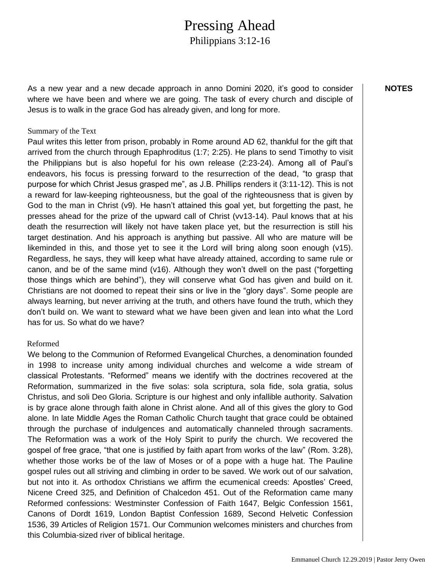# Pressing Ahead

Philippians 3:12-16

As a new year and a new decade approach in anno Domini 2020, it's good to consider where we have been and where we are going. The task of every church and disciple of Jesus is to walk in the grace God has already given, and long for more.

### Summary of the Text

Paul writes this letter from prison, probably in Rome around AD 62, thankful for the gift that arrived from the church through Epaphroditus (1:7; 2:25). He plans to send Timothy to visit the Philippians but is also hopeful for his own release (2:23-24). Among all of Paul's endeavors, his focus is pressing forward to the resurrection of the dead, "to grasp that purpose for which Christ Jesus grasped me", as J.B. Phillips renders it (3:11-12). This is not a reward for law-keeping righteousness, but the goal of the righteousness that is given by God to the man in Christ (v9). He hasn't attained this goal yet, but forgetting the past, he presses ahead for the prize of the upward call of Christ (vv13-14). Paul knows that at his death the resurrection will likely not have taken place yet, but the resurrection is still his target destination. And his approach is anything but passive. All who are mature will be likeminded in this, and those yet to see it the Lord will bring along soon enough (v15). Regardless, he says, they will keep what have already attained, according to same rule or canon, and be of the same mind (v16). Although they won't dwell on the past ("forgetting those things which are behind"), they will conserve what God has given and build on it. Christians are not doomed to repeat their sins or live in the "glory days". Some people are always learning, but never arriving at the truth, and others have found the truth, which they don't build on. We want to steward what we have been given and lean into what the Lord has for us. So what do we have?

### Reformed

We belong to the Communion of Reformed Evangelical Churches, a denomination founded in 1998 to increase unity among individual churches and welcome a wide stream of classical Protestants. "Reformed" means we identify with the doctrines recovered at the Reformation, summarized in the five solas: sola scriptura, sola fide, sola gratia, solus Christus, and soli Deo Gloria. Scripture is our highest and only infallible authority. Salvation is by grace alone through faith alone in Christ alone. And all of this gives the glory to God alone. In late Middle Ages the Roman Catholic Church taught that grace could be obtained through the purchase of indulgences and automatically channeled through sacraments. The Reformation was a work of the Holy Spirit to purify the church. We recovered the gospel of free grace, "that one is justified by faith apart from works of the law" (Rom. 3:28), whether those works be of the law of Moses or of a pope with a huge hat. The Pauline gospel rules out all striving and climbing in order to be saved. We work out of our salvation, but not into it. As orthodox Christians we affirm the ecumenical creeds: Apostles' Creed, Nicene Creed 325, and Definition of Chalcedon 451. Out of the Reformation came many Reformed confessions: Westminster Confession of Faith 1647, Belgic Confession 1561, Canons of Dordt 1619, London Baptist Confession 1689, Second Helvetic Confession 1536, 39 Articles of Religion 1571. Our Communion welcomes ministers and churches from this Columbia-sized river of biblical heritage.

**NOTES**